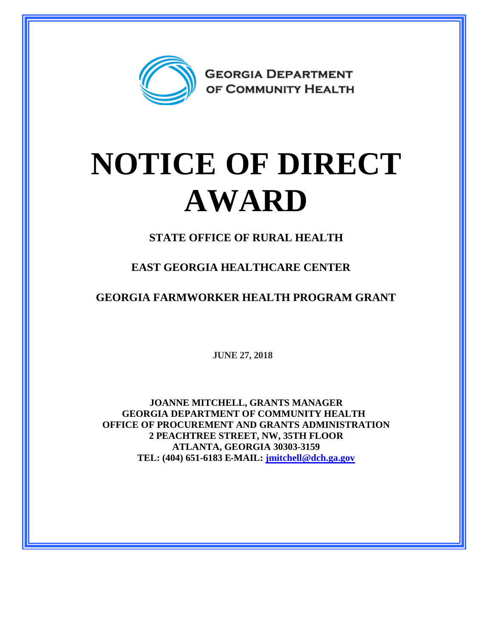

## **NOTICE OF DIRECT AWARD**

**STATE OFFICE OF RURAL HEALTH**

**EAST GEORGIA HEALTHCARE CENTER**

**GEORGIA FARMWORKER HEALTH PROGRAM GRANT**

**JUNE 27, 2018**

**JOANNE MITCHELL, GRANTS MANAGER GEORGIA DEPARTMENT OF COMMUNITY HEALTH OFFICE OF PROCUREMENT AND GRANTS ADMINISTRATION 2 PEACHTREE STREET, NW, 35TH FLOOR ATLANTA, GEORGIA 30303-3159 TEL: (404) 651-6183 E-MAIL: [jmitchell@dch.ga.gov](mailto:jmitchell@dch.ga.gov)**